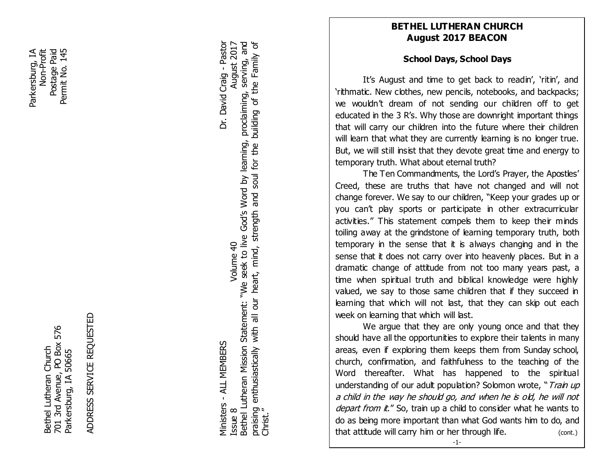Parkersburg, IA Postage Paid Permit No. 145 Non-Profit<br>Postage Paid Parkersburg, IA Permit No. 145

> 701 3rd Avenue, PO Box 576<br>Parkersburg, IA 50665 701 3rd Avenue, PO Box 576 Bethel Lutheran Church Bethel Lutheran Church Parkersburg, IA 50665

ADDRESS SERVICE REQUESTED ADDRESS SERVICE REQUESTED

Bethel Lutheran Mission Statement: "We seek to live God's Word by learning, proclaiming, serving, and praising enthusiastically with all our heart, mind, strength and soul for the building of the Family of Ministers - ALL MEMBERS Dr. David Craig - Pastor ISSUE 8 Volume 40 August 2017<br>ISSUE 8 Volume 40 August 2017<br>
Williams 2018 Bethel Lutheran Mission Statement: "We seek to live God's Word by learning, praising enthusiastically with all our heart, mind, strength and soul for the<br>Christ." Volume 40 Viinisters - ALL MEMBERS issue 8

building of the Family of

proclaiming, serving, and

August 2017

Dr. David Craig - Pastor

## **BETHEL LUTHERAN CHURCH August 2017 BEACON**

# **School Days, School Days**

It's August and time to get back to readin', 'ritin', and 'rithmatic. New clothes, new pencils, notebooks, and backpacks; we wouldn't dream of not sending our children off to get educated in the 3 R's. Why those are downright important things that will carry our children into the future where their children will learn that what they are currently learning is no longer true. But, we will still insist that they devote great time and energy to temporary truth. What about eternal truth?

Fildren<br> **FEBRUARY**<br> **FEBRUARY**<br> **FEBRUARY**<br> **FEBRUARY**<br> **FEBRUARY**<br> **FEBRUARY**<br> **FEBRUARY**<br> **FEBRUARY** The Ten Commandments, the Lord's Prayer, the Apostles' Creed, these are truths that have not changed and will not change forever. We say to our children, "Keep your grades up or you can't play sports or participate in other extracurricular activities." This statement compels them to keep their minds toiling away at the grindstone of learning temporary truth, both temporary in the sense that it is always changing and in the sense that it does not carry over into heavenly places. But in a dramatic change of attitude from not too many years past, a time when spiritual truth and biblical knowledge were highly valued, we say to those same children that if they succeed in learning that which will not last, that they can skip out each week on learning that which will last.

understanding of our adult population? Solomon wrote, " Train up We argue that they are only young once and that they should have all the opportunities to explore their talents in many areas, even if exploring them keeps them from Sunday school, church, confirmation, and faithfulness to the teaching of the Word thereafter. What has happened to the spiritual a child in the way he should go, and when he is old, he will not depart from it." So, train up a child to consider what he wants to do as being more important than what God wants him to do, and that attitude will carry him or her through life. (cont.)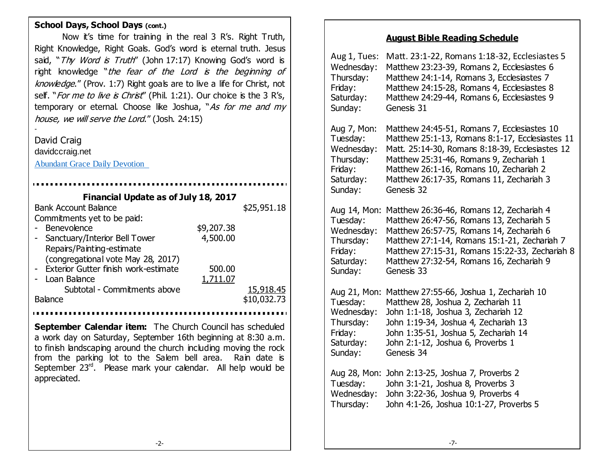### **School Days, School Days (cont.)**

 Right Knowledge, Right Goals. God's word is eternal truth. Jesus Now it's time for training in the real 3 R's. Right Truth, said, "Thy Word is Truth" (John 17:17) Knowing God's word is right knowledge "the fear of the Lord is the beginning of knowledge." (Prov. 1:7) Right goals are to live a life for Christ, not self. "For me to live is Christ" (Phil. 1:21). Our choice is the 3 R's, temporary or eternal. Choose like Joshua, "As for me and my house, we will serve the Lord." (Josh. 24:15)

David Craig davidccraig.net

-

[Abundant Grace Daily Devotion](http://adoringgrace.blogspot.com/)

| Financial Update as of July 18, 2017   |            |             |
|----------------------------------------|------------|-------------|
| <b>Bank Account Balance</b>            |            | \$25,951.18 |
| Commitments yet to be paid:            |            |             |
| Benevolence                            | \$9,207.38 |             |
| - Sanctuary/Interior Bell Tower        | 4,500.00   |             |
| Repairs/Painting-estimate              |            |             |
| (congregational vote May 28, 2017)     |            |             |
| - Exterior Gutter finish work-estimate | 500.00     |             |
| Loan Balance                           | 1,711.07   |             |
| Subtotal - Commitments above           |            | 15,918.45   |
| <b>Balance</b>                         |            | \$10,032.73 |
|                                        |            |             |

**September Calendar item:** The Church Council has scheduled a work day on Saturday, September 16th beginning at 8:30 a.m. to finish landscaping around the church including moving the rock from the parking lot to the Salem bell area. Rain date is September 23<sup>rd</sup>. Please mark your calendar. All help would be appreciated.

## **August Bible Reading Schedule**

| Aug 1, Tues: | Matt. 23:1-22, Romans 1:18-32, Ecclesiastes 5   |
|--------------|-------------------------------------------------|
| Wednesday:   | Matthew 23:23-39, Romans 2, Ecclesiastes 6      |
| Thursday:    | Matthew 24:1-14, Romans 3, Ecclesiastes 7       |
| Friday:      | Matthew 24:15-28, Romans 4, Ecclesiastes 8      |
| Saturday:    | Matthew 24:29-44, Romans 6, Ecclesiastes 9      |
| Sunday:      | Genesis 31                                      |
| Aug 7, Mon:  | Matthew 24:45-51, Romans 7, Ecclesiastes 10     |
| Tuesday:     | Matthew 25:1-13, Romans 8:1-17, Ecclesiastes 11 |
| Wednesday:   | Matt. 25:14-30, Romans 8:18-39, Ecclesiastes 12 |
| Thursday:    | Matthew 25:31-46, Romans 9, Zechariah 1         |
| Friday:      | Matthew 26:1-16, Romans 10, Zechariah 2         |
| Saturday:    | Matthew 26:17-35, Romans 11, Zechariah 3        |
| Sunday:      | Genesis 32                                      |
| Aug 14, Mon: | Matthew 26:36-46, Romans 12, Zechariah 4        |
| Tuesday:     | Matthew 26:47-56, Romans 13, Zechariah 5        |
| Wednesday:   | Matthew 26:57-75, Romans 14, Zechariah 6        |
| Thursday:    | Matthew 27:1-14, Romans 15:1-21, Zechariah 7    |
| Friday:      | Matthew 27:15-31, Romans 15:22-33, Zechariah 8  |
| Saturday:    | Matthew 27:32-54, Romans 16, Zechariah 9        |
| Sunday:      | Genesis 33                                      |
| Aug 21, Mon: | Matthew 27:55-66, Joshua 1, Zechariah 10        |
| Tuesday:     | Matthew 28, Joshua 2, Zechariah 11              |
| Wednesday:   | John 1:1-18, Joshua 3, Zechariah 12             |
| Thursday:    | John 1:19-34, Joshua 4, Zechariah 13            |
| Friday:      | John 1:35-51, Joshua 5, Zechariah 14            |
| Saturday:    | John 2:1-12, Joshua 6, Proverbs 1               |
| Sunday:      | Genesis 34                                      |
| Aug 28, Mon: | John 2:13-25, Joshua 7, Proverbs 2              |
| Tuesday:     | John 3:1-21, Joshua 8, Proverbs 3               |
| Wednesday:   | John 3:22-36, Joshua 9, Proverbs 4              |
| Thursday:    | John 4:1-26, Joshua 10:1-27, Proverbs 5         |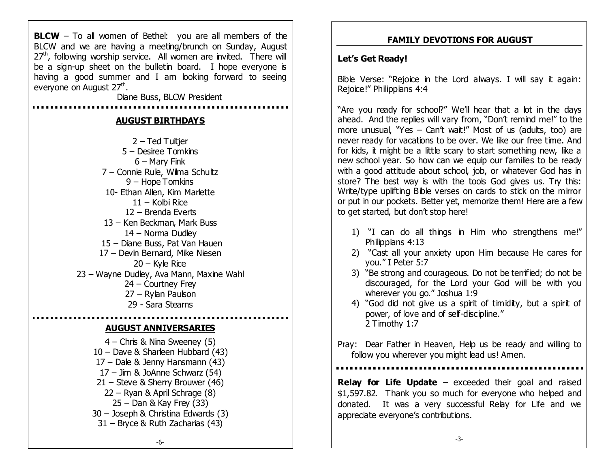**BLCW** – To all women of Bethel: you are all members of the BLCW and we are having a meeting/brunch on Sunday, August  $27<sup>th</sup>$ , following worship service. All women are invited. There will be a sign-up sheet on the bulletin board. I hope everyone is having a good summer and I am looking forward to seeing everyone on August 27<sup>th</sup>.

Diane Buss, BLCW President

#### **AUGUST BIRTHDAYS**

 $2 -$  Ted Tuitier – Desiree Tomkins – Mary Fink – Connie Rule, Wilma Schultz – Hope Tomkins 10- Ethan Allen, Kim Marlette – Kolbi Rice – Brenda Everts – Ken Beckman, Mark Buss – Norma Dudley – Diane Buss, Pat Van Hauen – Devin Bernard, Mike Niesen  $20 -$  Kyle Rice – Wayne Dudley, Ava Mann, Maxine Wahl – Courtney Frey – Rylan Paulson 29 - Sara Stearns

#### **AUGUST ANNIVERSARIES**

– Chris & Nina Sweeney (5) – Dave & Sharleen Hubbard (43) – Dale & Jenny Hansmann (43) – Jim & JoAnne Schwarz (54) – Steve & Sherry Brouwer (46) – Ryan & April Schrage (8) – Dan & Kay Frey (33) – Joseph & Christina Edwards (3) – Bryce & Ruth Zacharias (43)

### **FAMILY DEVOTIONS FOR AUGUST**

#### **Let's Get Ready!**

Bible Verse: "Rejoice in the Lord always. I will say it again: Rejoice!" Philippians 4:4

"Are you ready for school?" We'll hear that a lot in the days ahead. And the replies will vary from, "Don't remind me!" to the more unusual, "Yes – Can't wait!" Most of us (adults, too) are never ready for vacations to be over. We like our free time. And for kids, it might be a little scary to start something new, like a new school year. So how can we equip our families to be ready with a good attitude about school, job, or whatever God has in store? The best way is with the tools God gives us. Try this: Write/type uplifting Bible verses on cards to stick on the mirror or put in our pockets. Better yet, memorize them! Here are a few to get started, but don't stop here!

- 1) "I can do all things in Him who strengthens me!" Philippians 4:13
- 2) "Cast all your anxiety upon Him because He cares for you." I Peter 5:7
- 3) "Be strong and courageous. Do not be terrified; do not be discouraged, for the Lord your God will be with you wherever you go." Joshua 1:9
- 4) "God did not give us a spirit of timidity, but a spirit of power, of love and of self-discipline." 2 Timothy 1:7

Pray: Dear Father in Heaven, Help us be ready and willing to follow you wherever you might lead us! Amen.

**Relay for Life Update** – exceeded their goal and raised \$1,597.82. Thank you so much for everyone who helped and donated. It was a very successful Relay for Life and we appreciate everyone's contributions.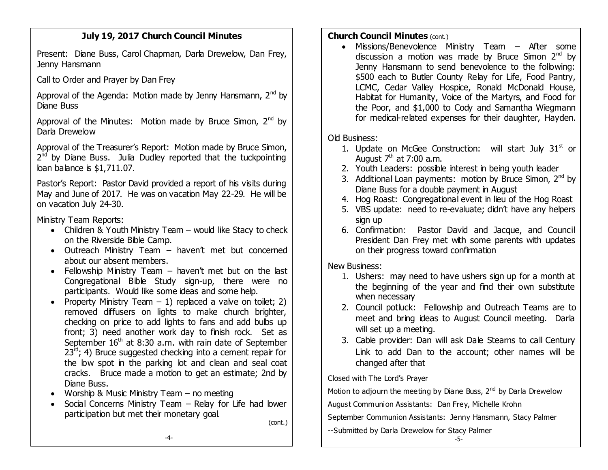## **July 19, 2017 Church Council Minutes**

Present: Diane Buss, Carol Chapman, Darla Drewelow, Dan Frey, Jenny Hansmann

Call to Order and Prayer by Dan Frey

Approval of the Agenda: Motion made by Jenny Hansmann,  $2^{nd}$  by Diane Buss

Approval of the Minutes: Motion made by Bruce Simon,  $2^{nd}$  by Darla Drewelow

Approval of the Treasurer's Report: Motion made by Bruce Simon, 2<sup>nd</sup> by Diane Buss. Julia Dudley reported that the tuckpointing loan balance is \$1,711.07.

Pastor's Report: Pastor David provided a report of his visits during May and June of 2017. He was on vacation May 22-29. He will be on vacation July 24-30.

Ministry Team Reports:

- Children & Youth Ministry Team would like Stacy to check on the Riverside Bible Camp.
- Outreach Ministry Team haven't met but concerned about our absent members.
- Fellowship Ministry Team haven't met but on the last Congregational Bible Study sign-up, there were no participants. Would like some ideas and some help.
- Property Ministry Team  $-1$ ) replaced a valve on toilet; 2) removed diffusers on lights to make church brighter, checking on price to add lights to fans and add bulbs up front; 3) need another work day to finish rock. Set as September  $16<sup>th</sup>$  at 8:30 a.m. with rain date of September  $23^{rd}$ ; 4) Bruce suggested checking into a cement repair for the low spot in the parking lot and clean and seal coat cracks. Bruce made a motion to get an estimate; 2nd by Diane Buss.
- Worship & Music Ministry Team  $-$  no meeting
- Social Concerns Ministry Team Relay for Life had lower participation but met their monetary goal.

(cont.)

## **Church Council Minutes (cont.)**

 Missions/Benevolence Ministry Team – After some discussion a motion was made by Bruce Simon  $2<sup>nd</sup>$  by Jenny Hansmann to send benevolence to the following: \$500 each to Butler County Relay for Life, Food Pantry, LCMC, Cedar Valley Hospice, Ronald McDonald House, Habitat for Humanity, Voice of the Martyrs, and Food for the Poor, and \$1,000 to Cody and Samantha Wiegmann for medical-related expenses for their daughter, Hayden.

# Old Business:

- 1. Update on McGee Construction: will start July  $31<sup>st</sup>$  or August  $7<sup>th</sup>$  at 7:00 a.m.
- 2. Youth Leaders: possible interest in being youth leader
- 3. Additional Loan payments: motion by Bruce Simon,  $2^{nd}$  by Diane Buss for a double payment in August
- 4. Hog Roast: Congregational event in lieu of the Hog Roast
- 5. VBS update: need to re-evaluate; didn't have any helpers sign up
- 6. Confirmation: Pastor David and Jacque, and Council President Dan Frey met with some parents with updates on their progress toward confirmation

New Business:

- 1. Ushers: may need to have ushers sign up for a month at the beginning of the year and find their own substitute when necessary
- 2. Council potluck: Fellowship and Outreach Teams are to meet and bring ideas to August Council meeting. Darla will set up a meeting.
- 3. Cable provider: Dan will ask Dale Stearns to call Century Link to add Dan to the account; other names will be changed after that

Closed with The Lord's Prayer

Motion to adjourn the meeting by Diane Buss,  $2^{nd}$  by Darla Drewelow

August Communion Assistants: Dan Frey, Michelle Krohn

September Communion Assistants: Jenny Hansmann, Stacy Palmer

--Submitted by Darla Drewelow for Stacy Palmer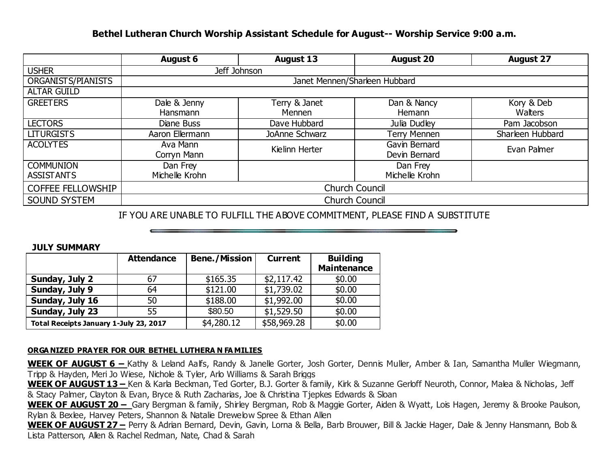## **Bethel Lutheran Church Worship Assistant Schedule for August-- Worship Service 9:00 a.m.**

|                          | <b>August 6</b>               | <b>August 13</b> | <b>August 20</b> | <b>August 27</b> |  |
|--------------------------|-------------------------------|------------------|------------------|------------------|--|
| <b>USHER</b>             |                               | Jeff Johnson     |                  |                  |  |
| ORGANISTS/PIANISTS       | Janet Mennen/Sharleen Hubbard |                  |                  |                  |  |
| <b>ALTAR GUILD</b>       |                               |                  |                  |                  |  |
| <b>GREETERS</b>          | Dale & Jenny                  | Terry & Janet    | Dan & Nancy      | Kory & Deb       |  |
|                          | Hansmann                      | Mennen           | Hemann           | Watters          |  |
| <b>LECTORS</b>           | Diane Buss                    | Dave Hubbard     | Julia Dudley     | Pam Jacobson     |  |
| <b>LITURGISTS</b>        | Aaron Ellermann               | JoAnne Schwarz   | Terry Mennen     | Sharleen Hubbard |  |
| <b>ACOLYTES</b>          | Ava Mann                      | Kielinn Herter   | Gavin Bernard    | Evan Palmer      |  |
|                          | Corryn Mann                   |                  | Devin Bernard    |                  |  |
| <b>COMMUNION</b>         | Dan Frey                      |                  | Dan Frey         |                  |  |
| <b>ASSISTANTS</b>        | Michelle Krohn                |                  | Michelle Krohn   |                  |  |
| <b>COFFEE FELLOWSHIP</b> | <b>Church Council</b>         |                  |                  |                  |  |
| SOUND SYSTEM             | <b>Church Council</b>         |                  |                  |                  |  |

IF YOU ARE UNABLE TO FULFILL THE ABOVE COMMITMENT, PLEASE FIND A SUBSTITUTE

#### **JULY SUMMARY**

|                                        | <b>Attendance</b> | <b>Bene./Mission</b> | <b>Current</b> | <b>Building</b><br><b>Maintenance</b> |
|----------------------------------------|-------------------|----------------------|----------------|---------------------------------------|
| Sunday, July 2                         | 67                | \$165.35             | \$2,117.42     | \$0.00                                |
| Sunday, July 9                         | 64                | \$121.00             | \$1,739.02     | \$0.00                                |
| Sunday, July 16                        | 50                | \$188.00             | \$1,992.00     | \$0.00                                |
| Sunday, July 23                        | 55                | \$80.50              | \$1,529.50     | \$0.00                                |
| Total Receipts January 1-July 23, 2017 |                   | \$4,280.12           | \$58,969.28    | \$0.00                                |

#### **ORGA NIZED PRAYER FOR OUR BETHEL LUTHERA N FA MILIES**

**WEEK OF AUGUST 6 –** Kathy & Leland Aalfs, Randy & Janelle Gorter, Josh Gorter, Dennis Muller, Amber & Ian, Samantha Muller Wiegmann, Tripp & Hayden, Meri Jo Wiese, Nichole & Tyler, Arlo Williams & Sarah Briggs

**WEEK OF AUGUST 13 –** Ken & Karla Beckman, Ted Gorter, B.J. Gorter & family, Kirk & Suzanne Gerloff Neuroth, Connor, Malea & Nicholas, Jeff & Stacy Palmer, Clayton & Evan, Bryce & Ruth Zacharias, Joe & Christina Tjepkes Edwards & Sloan

**WEEK OF AUGUST 20 –** Gary Bergman & family, Shirley Bergman, Rob & Maggie Gorter, Aiden & Wyatt, Lois Hagen, Jeremy & Brooke Paulson, Rylan & Bexlee, Harvey Peters, Shannon & Natalie Drewelow Spree & Ethan Allen

**WEEK OF AUGUST 27 –** Perry & Adrian Bernard, Devin, Gavin, Lorna & Bella, Barb Brouwer, Bill & Jackie Hager, Dale & Jenny Hansmann, Bob & Lista Patterson, Allen & Rachel Redman, Nate, Chad & Sarah